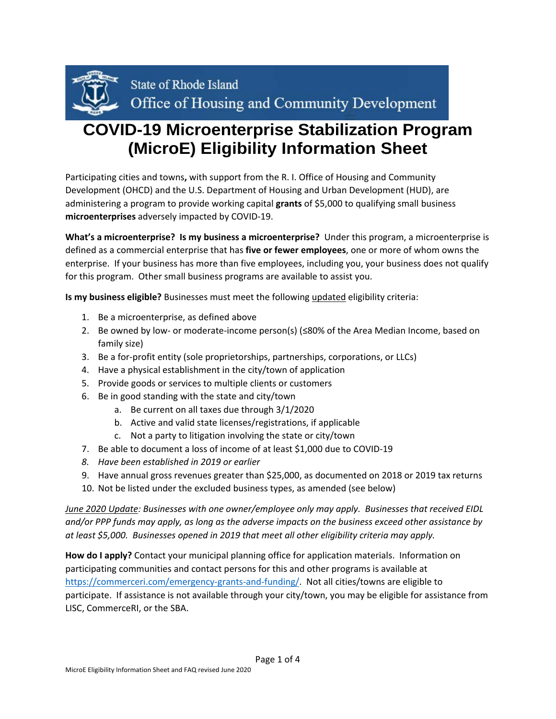

# **COVID-19 Microenterprise Stabilization Program (MicroE) Eligibility Information Sheet**

Participating cities and towns**,** with support from the R. I. Office of Housing and Community Development (OHCD) and the U.S. Department of Housing and Urban Development (HUD), are administering a program to provide working capital **grants** of \$5,000 to qualifying small business **microenterprises** adversely impacted by COVID-19.

**What's a microenterprise? Is my business a microenterprise?** Under this program, a microenterprise is defined as a commercial enterprise that has **five or fewer employees**, one or more of whom owns the enterprise. If your business has more than five employees, including you, your business does not qualify for this program. Other small business programs are available to assist you.

**Is my business eligible?** Businesses must meet the following updated eligibility criteria:

- 1. Be a microenterprise, as defined above
- 2. Be owned by low- or moderate-income person(s) (≤80% of the Area Median Income, based on family size)
- 3. Be a for-profit entity (sole proprietorships, partnerships, corporations, or LLCs)
- 4. Have a physical establishment in the city/town of application
- 5. Provide goods or services to multiple clients or customers
- 6. Be in good standing with the state and city/town
	- a. Be current on all taxes due through 3/1/2020
	- b. Active and valid state licenses/registrations, if applicable
	- c. Not a party to litigation involving the state or city/town
- 7. Be able to document a loss of income of at least \$1,000 due to COVID-19
- *8. Have been established in 2019 or earlier*
- 9. Have annual gross revenues greater than \$25,000, as documented on 2018 or 2019 tax returns
- 10. Not be listed under the excluded business types, as amended (see below)

*June 2020 Update: Businesses with one owner/employee only may apply. Businesses that received EIDL and/or PPP funds may apply, as long as the adverse impacts on the business exceed other assistance by at least \$5,000. Businesses opened in 2019 that meet all other eligibility criteria may apply.*

**How do I apply?** Contact your municipal planning office for application materials. Information on participating communities and contact persons for this and other programs is available at [https://commerceri.com/emergency-grants-and-funding/.](https://commerceri.com/emergency-grants-and-funding/) Not all cities/towns are eligible to participate. If assistance is not available through your city/town, you may be eligible for assistance from LISC, CommerceRI, or the SBA.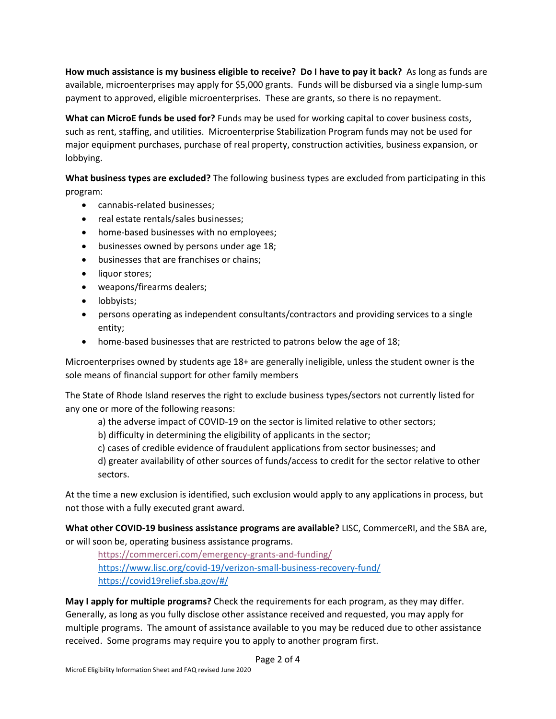**How much assistance is my business eligible to receive? Do I have to pay it back?** As long as funds are available, microenterprises may apply for \$5,000 grants. Funds will be disbursed via a single lump-sum payment to approved, eligible microenterprises. These are grants, so there is no repayment.

**What can MicroE funds be used for?** Funds may be used for working capital to cover business costs, such as rent, staffing, and utilities. Microenterprise Stabilization Program funds may not be used for major equipment purchases, purchase of real property, construction activities, business expansion, or lobbying.

**What business types are excluded?** The following business types are excluded from participating in this program:

- cannabis-related businesses;
- real estate rentals/sales businesses;
- home-based businesses with no employees;
- businesses owned by persons under age 18;
- businesses that are franchises or chains;
- liquor stores;
- weapons/firearms dealers;
- lobbyists;
- persons operating as independent consultants/contractors and providing services to a single entity;
- home-based businesses that are restricted to patrons below the age of 18;

Microenterprises owned by students age 18+ are generally ineligible, unless the student owner is the sole means of financial support for other family members

The State of Rhode Island reserves the right to exclude business types/sectors not currently listed for any one or more of the following reasons:

a) the adverse impact of COVID-19 on the sector is limited relative to other sectors;

- b) difficulty in determining the eligibility of applicants in the sector;
- c) cases of credible evidence of fraudulent applications from sector businesses; and

d) greater availability of other sources of funds/access to credit for the sector relative to other sectors.

At the time a new exclusion is identified, such exclusion would apply to any applications in process, but not those with a fully executed grant award.

**What other COVID-19 business assistance programs are available?** LISC, CommerceRI, and the SBA are, or will soon be, operating business assistance programs.

<https://commerceri.com/emergency-grants-and-funding/> <https://www.lisc.org/covid-19/verizon-small-business-recovery-fund/> <https://covid19relief.sba.gov/#/>

**May I apply for multiple programs?** Check the requirements for each program, as they may differ. Generally, as long as you fully disclose other assistance received and requested, you may apply for multiple programs. The amount of assistance available to you may be reduced due to other assistance received. Some programs may require you to apply to another program first.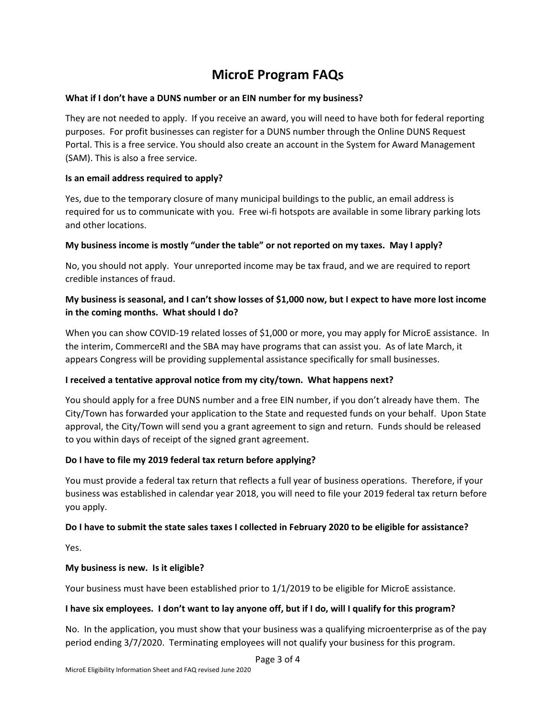# **MicroE Program FAQs**

### **What if I don't have a DUNS number or an EIN number for my business?**

They are not needed to apply. If you receive an award, you will need to have both for federal reporting purposes. For profit businesses can register for a DUNS number through the Online DUNS Request Portal. This is a free service. You should also create an account in the System for Award Management (SAM). This is also a free service.

#### **Is an email address required to apply?**

Yes, due to the temporary closure of many municipal buildings to the public, an email address is required for us to communicate with you. Free wi-fi hotspots are available in some library parking lots and other locations.

#### **My business income is mostly "under the table" or not reported on my taxes. May I apply?**

No, you should not apply. Your unreported income may be tax fraud, and we are required to report credible instances of fraud.

# **My business is seasonal, and I can't show losses of \$1,000 now, but I expect to have more lost income in the coming months. What should I do?**

When you can show COVID-19 related losses of \$1,000 or more, you may apply for MicroE assistance. In the interim, CommerceRI and the SBA may have programs that can assist you. As of late March, it appears Congress will be providing supplemental assistance specifically for small businesses.

# **I received a tentative approval notice from my city/town. What happens next?**

You should apply for a free DUNS number and a free EIN number, if you don't already have them. The City/Town has forwarded your application to the State and requested funds on your behalf. Upon State approval, the City/Town will send you a grant agreement to sign and return. Funds should be released to you within days of receipt of the signed grant agreement.

# **Do I have to file my 2019 federal tax return before applying?**

You must provide a federal tax return that reflects a full year of business operations. Therefore, if your business was established in calendar year 2018, you will need to file your 2019 federal tax return before you apply.

# **Do I have to submit the state sales taxes I collected in February 2020 to be eligible for assistance?**

Yes.

# **My business is new. Is it eligible?**

Your business must have been established prior to  $1/1/2019$  to be eligible for MicroE assistance.

#### **I have six employees. I don't want to lay anyone off, but if I do, will I qualify for this program?**

No. In the application, you must show that your business was a qualifying microenterprise as of the pay period ending 3/7/2020. Terminating employees will not qualify your business for this program.